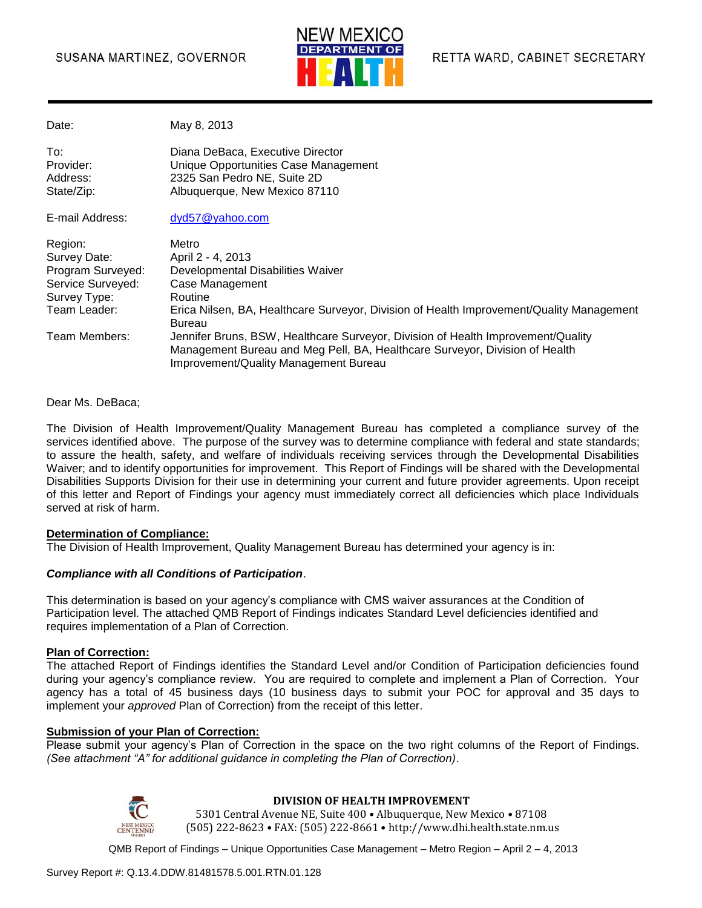

Date: May 8, 2013

| To:        | Diana DeBaca, Executive Director     |
|------------|--------------------------------------|
| Provider:  | Unique Opportunities Case Management |
| Address:   | 2325 San Pedro NE, Suite 2D          |
| State/Zip: | Albuquerque, New Mexico 87110        |

E-mail Address: [dyd57@yahoo.com](mailto:dyd57@yahoo.com)

| Region:           | Metro                                                                                                                                                                                                    |
|-------------------|----------------------------------------------------------------------------------------------------------------------------------------------------------------------------------------------------------|
| Survey Date:      | April 2 - 4, 2013                                                                                                                                                                                        |
| Program Surveyed: | Developmental Disabilities Waiver                                                                                                                                                                        |
| Service Surveyed: | Case Management                                                                                                                                                                                          |
| Survey Type:      | Routine                                                                                                                                                                                                  |
| Team Leader:      | Erica Nilsen, BA, Healthcare Surveyor, Division of Health Improvement/Quality Management<br><b>Bureau</b>                                                                                                |
| Team Members:     | Jennifer Bruns, BSW, Healthcare Surveyor, Division of Health Improvement/Quality<br>Management Bureau and Meg Pell, BA, Healthcare Surveyor, Division of Health<br>Improvement/Quality Management Bureau |

Dear Ms. DeBaca;

The Division of Health Improvement/Quality Management Bureau has completed a compliance survey of the services identified above. The purpose of the survey was to determine compliance with federal and state standards; to assure the health, safety, and welfare of individuals receiving services through the Developmental Disabilities Waiver; and to identify opportunities for improvement. This Report of Findings will be shared with the Developmental Disabilities Supports Division for their use in determining your current and future provider agreements. Upon receipt of this letter and Report of Findings your agency must immediately correct all deficiencies which place Individuals served at risk of harm.

#### **Determination of Compliance:**

The Division of Health Improvement, Quality Management Bureau has determined your agency is in:

#### *Compliance with all Conditions of Participation*.

This determination is based on your agency's compliance with CMS waiver assurances at the Condition of Participation level. The attached QMB Report of Findings indicates Standard Level deficiencies identified and requires implementation of a Plan of Correction.

#### **Plan of Correction:**

The attached Report of Findings identifies the Standard Level and/or Condition of Participation deficiencies found during your agency's compliance review. You are required to complete and implement a Plan of Correction. Your agency has a total of 45 business days (10 business days to submit your POC for approval and 35 days to implement your *approved* Plan of Correction) from the receipt of this letter.

#### **Submission of your Plan of Correction:**

Please submit your agency's Plan of Correction in the space on the two right columns of the Report of Findings. *(See attachment "A" for additional guidance in completing the Plan of Correction)*.



#### **DIVISION OF HEALTH IMPROVEMENT**

5301 Central Avenue NE, Suite 400 • Albuquerque, New Mexico • 87108 (505) 222-8623 • FAX: (505) 222-8661 • http://www.dhi.health.state.nm.us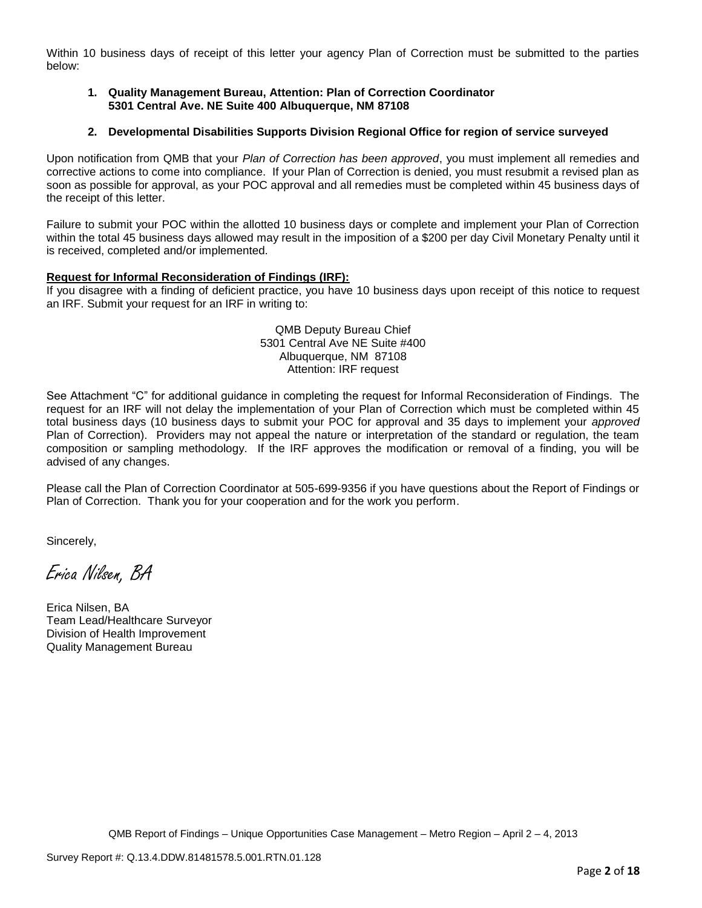Within 10 business days of receipt of this letter your agency Plan of Correction must be submitted to the parties below:

#### **1. Quality Management Bureau, Attention: Plan of Correction Coordinator 5301 Central Ave. NE Suite 400 Albuquerque, NM 87108**

#### **2. Developmental Disabilities Supports Division Regional Office for region of service surveyed**

Upon notification from QMB that your *Plan of Correction has been approved*, you must implement all remedies and corrective actions to come into compliance. If your Plan of Correction is denied, you must resubmit a revised plan as soon as possible for approval, as your POC approval and all remedies must be completed within 45 business days of the receipt of this letter.

Failure to submit your POC within the allotted 10 business days or complete and implement your Plan of Correction within the total 45 business days allowed may result in the imposition of a \$200 per day Civil Monetary Penalty until it is received, completed and/or implemented.

#### **Request for Informal Reconsideration of Findings (IRF):**

If you disagree with a finding of deficient practice, you have 10 business days upon receipt of this notice to request an IRF. Submit your request for an IRF in writing to:

> QMB Deputy Bureau Chief 5301 Central Ave NE Suite #400 Albuquerque, NM 87108 Attention: IRF request

See Attachment "C" for additional guidance in completing the request for Informal Reconsideration of Findings. The request for an IRF will not delay the implementation of your Plan of Correction which must be completed within 45 total business days (10 business days to submit your POC for approval and 35 days to implement your *approved* Plan of Correction). Providers may not appeal the nature or interpretation of the standard or regulation, the team composition or sampling methodology. If the IRF approves the modification or removal of a finding, you will be advised of any changes.

Please call the Plan of Correction Coordinator at 505-699-9356 if you have questions about the Report of Findings or Plan of Correction. Thank you for your cooperation and for the work you perform.

Sincerely,

Erica Nilsen, BA

Erica Nilsen, BA Team Lead/Healthcare Surveyor Division of Health Improvement Quality Management Bureau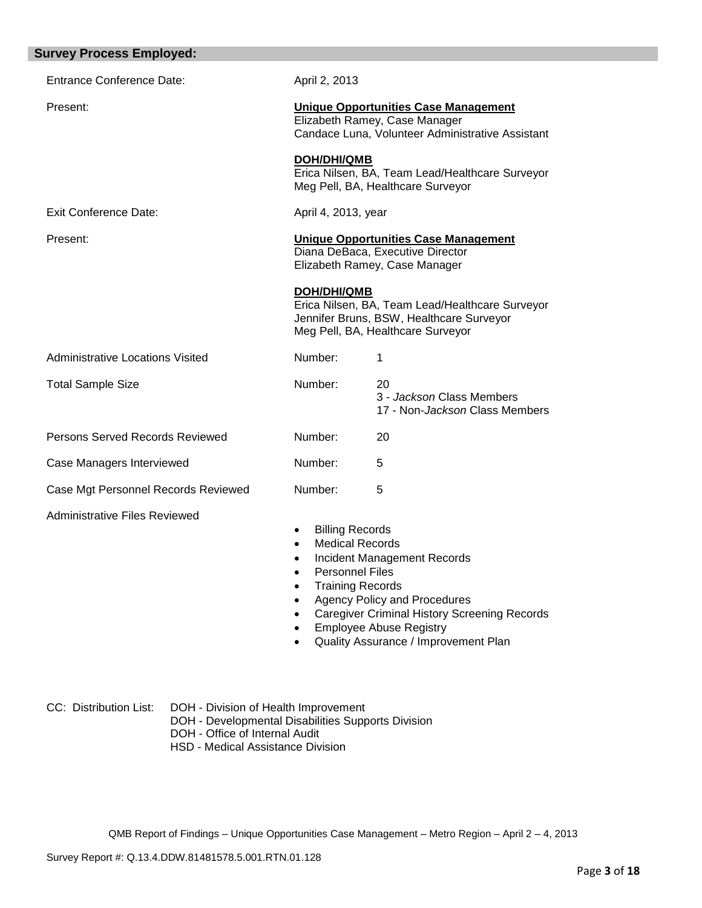| <b>Survey Process Employed:</b>         |                                                                                                                                                   |                                                                                                                                                             |
|-----------------------------------------|---------------------------------------------------------------------------------------------------------------------------------------------------|-------------------------------------------------------------------------------------------------------------------------------------------------------------|
| <b>Entrance Conference Date:</b>        | April 2, 2013                                                                                                                                     |                                                                                                                                                             |
| Present:                                |                                                                                                                                                   | <b>Unique Opportunities Case Management</b><br>Elizabeth Ramey, Case Manager<br>Candace Luna, Volunteer Administrative Assistant                            |
|                                         | <b>DOH/DHI/QMB</b>                                                                                                                                | Erica Nilsen, BA, Team Lead/Healthcare Surveyor<br>Meg Pell, BA, Healthcare Surveyor                                                                        |
| Exit Conference Date:                   | April 4, 2013, year                                                                                                                               |                                                                                                                                                             |
| Present:                                |                                                                                                                                                   | <b>Unique Opportunities Case Management</b><br>Diana DeBaca, Executive Director<br>Elizabeth Ramey, Case Manager                                            |
|                                         | <b>DOH/DHI/QMB</b>                                                                                                                                | Erica Nilsen, BA, Team Lead/Healthcare Surveyor<br>Jennifer Bruns, BSW, Healthcare Surveyor<br>Meg Pell, BA, Healthcare Surveyor                            |
| <b>Administrative Locations Visited</b> | Number:                                                                                                                                           | 1                                                                                                                                                           |
| <b>Total Sample Size</b>                | Number:                                                                                                                                           | 20<br>3 - Jackson Class Members<br>17 - Non-Jackson Class Members                                                                                           |
| Persons Served Records Reviewed         | Number:                                                                                                                                           | 20                                                                                                                                                          |
| Case Managers Interviewed               | Number:                                                                                                                                           | 5                                                                                                                                                           |
| Case Mgt Personnel Records Reviewed     | Number:                                                                                                                                           | 5                                                                                                                                                           |
| <b>Administrative Files Reviewed</b>    | <b>Billing Records</b><br>$\bullet$<br><b>Medical Records</b><br>$\bullet$<br>٠<br><b>Personnel Files</b><br><b>Training Records</b><br>$\bullet$ | Incident Management Records<br><b>Agency Policy and Procedures</b><br><b>Caregiver Criminal History Screening Records</b><br><b>Employee Abuse Registry</b> |

Quality Assurance / Improvement Plan

| CC: Distribution List: | DOH - Division of Health Improvement      |
|------------------------|-------------------------------------------|
|                        | DOH - Developmental Disabilities Supports |

- DOH Developmental Disabilities Supports Division
- DOH Office of Internal Audit
- HSD Medical Assistance Division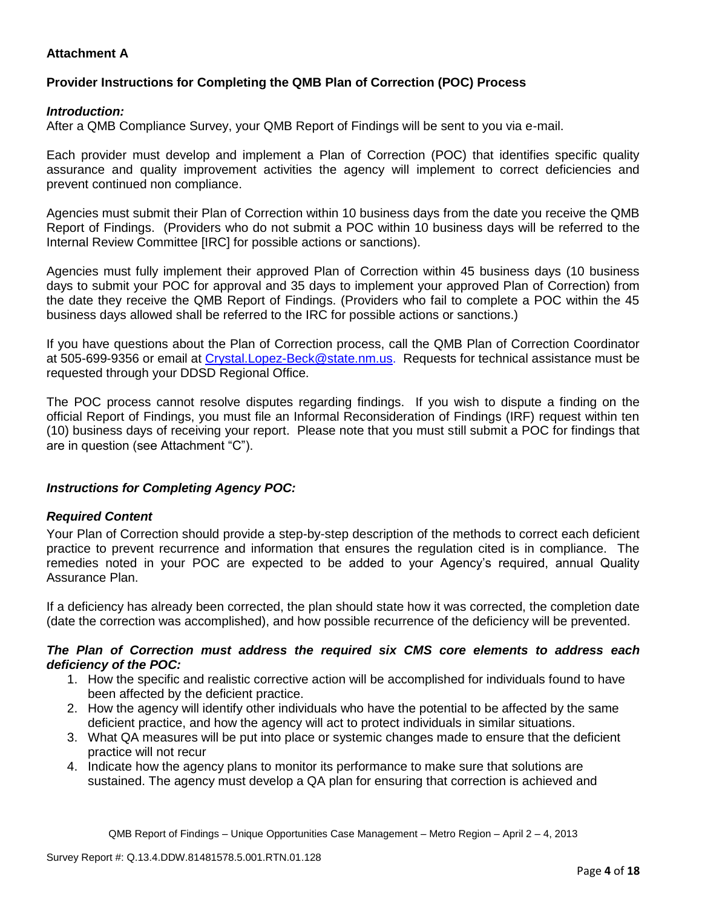# **Attachment A**

# **Provider Instructions for Completing the QMB Plan of Correction (POC) Process**

### *Introduction:*

After a QMB Compliance Survey, your QMB Report of Findings will be sent to you via e-mail.

Each provider must develop and implement a Plan of Correction (POC) that identifies specific quality assurance and quality improvement activities the agency will implement to correct deficiencies and prevent continued non compliance.

Agencies must submit their Plan of Correction within 10 business days from the date you receive the QMB Report of Findings. (Providers who do not submit a POC within 10 business days will be referred to the Internal Review Committee [IRC] for possible actions or sanctions).

Agencies must fully implement their approved Plan of Correction within 45 business days (10 business days to submit your POC for approval and 35 days to implement your approved Plan of Correction) from the date they receive the QMB Report of Findings. (Providers who fail to complete a POC within the 45 business days allowed shall be referred to the IRC for possible actions or sanctions.)

If you have questions about the Plan of Correction process, call the QMB Plan of Correction Coordinator at 505-699-9356 or email at Crystal.Lopez-Beck@state.nm.us. Requests for technical assistance must be requested through your DDSD Regional Office.

The POC process cannot resolve disputes regarding findings. If you wish to dispute a finding on the official Report of Findings, you must file an Informal Reconsideration of Findings (IRF) request within ten (10) business days of receiving your report. Please note that you must still submit a POC for findings that are in question (see Attachment "C").

# *Instructions for Completing Agency POC:*

#### *Required Content*

Your Plan of Correction should provide a step-by-step description of the methods to correct each deficient practice to prevent recurrence and information that ensures the regulation cited is in compliance. The remedies noted in your POC are expected to be added to your Agency's required, annual Quality Assurance Plan.

If a deficiency has already been corrected, the plan should state how it was corrected, the completion date (date the correction was accomplished), and how possible recurrence of the deficiency will be prevented.

#### *The Plan of Correction must address the required six CMS core elements to address each deficiency of the POC:*

- 1. How the specific and realistic corrective action will be accomplished for individuals found to have been affected by the deficient practice.
- 2. How the agency will identify other individuals who have the potential to be affected by the same deficient practice, and how the agency will act to protect individuals in similar situations.
- 3. What QA measures will be put into place or systemic changes made to ensure that the deficient practice will not recur
- 4. Indicate how the agency plans to monitor its performance to make sure that solutions are sustained. The agency must develop a QA plan for ensuring that correction is achieved and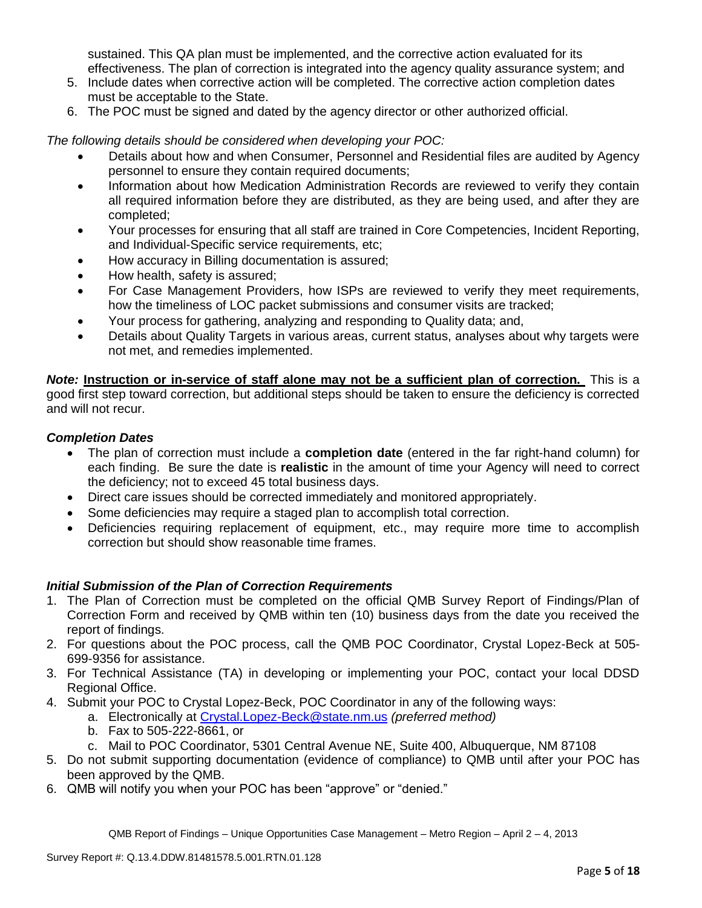sustained. This QA plan must be implemented, and the corrective action evaluated for its effectiveness. The plan of correction is integrated into the agency quality assurance system; and

- 5. Include dates when corrective action will be completed. The corrective action completion dates must be acceptable to the State.
- 6. The POC must be signed and dated by the agency director or other authorized official.

*The following details should be considered when developing your POC:*

- Details about how and when Consumer, Personnel and Residential files are audited by Agency personnel to ensure they contain required documents;
- Information about how Medication Administration Records are reviewed to verify they contain all required information before they are distributed, as they are being used, and after they are completed;
- Your processes for ensuring that all staff are trained in Core Competencies, Incident Reporting, and Individual-Specific service requirements, etc;
- How accuracy in Billing documentation is assured;
- How health, safety is assured;
- For Case Management Providers, how ISPs are reviewed to verify they meet requirements, how the timeliness of LOC packet submissions and consumer visits are tracked;
- Your process for gathering, analyzing and responding to Quality data; and,
- Details about Quality Targets in various areas, current status, analyses about why targets were not met, and remedies implemented.

*Note:* **Instruction or in-service of staff alone may not be a sufficient plan of correction.** This is a good first step toward correction, but additional steps should be taken to ensure the deficiency is corrected and will not recur.

### *Completion Dates*

- The plan of correction must include a **completion date** (entered in the far right-hand column) for each finding. Be sure the date is **realistic** in the amount of time your Agency will need to correct the deficiency; not to exceed 45 total business days.
- Direct care issues should be corrected immediately and monitored appropriately.
- Some deficiencies may require a staged plan to accomplish total correction.
- Deficiencies requiring replacement of equipment, etc., may require more time to accomplish correction but should show reasonable time frames.

# *Initial Submission of the Plan of Correction Requirements*

- 1. The Plan of Correction must be completed on the official QMB Survey Report of Findings/Plan of Correction Form and received by QMB within ten (10) business days from the date you received the report of findings.
- 2. For questions about the POC process, call the QMB POC Coordinator, Crystal Lopez-Beck at 505- 699-9356 for assistance.
- 3. For Technical Assistance (TA) in developing or implementing your POC, contact your local DDSD Regional Office.
- 4. Submit your POC to Crystal Lopez-Beck, POC Coordinator in any of the following ways:
	- a. Electronically at Crystal.Lopez-Beck@state.nm.us *(preferred method)*
	- b. Fax to 505-222-8661, or
	- c. Mail to POC Coordinator, 5301 Central Avenue NE, Suite 400, Albuquerque, NM 87108
- 5. Do not submit supporting documentation (evidence of compliance) to QMB until after your POC has been approved by the QMB.
- 6. QMB will notify you when your POC has been "approve" or "denied."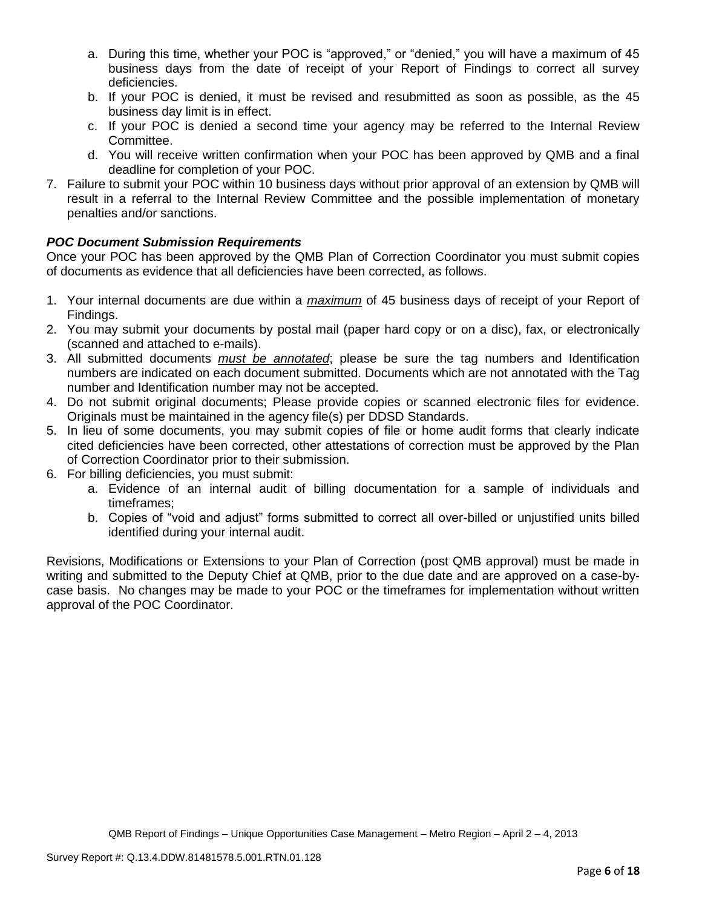- a. During this time, whether your POC is "approved," or "denied," you will have a maximum of 45 business days from the date of receipt of your Report of Findings to correct all survey deficiencies.
- b. If your POC is denied, it must be revised and resubmitted as soon as possible, as the 45 business day limit is in effect.
- c. If your POC is denied a second time your agency may be referred to the Internal Review Committee.
- d. You will receive written confirmation when your POC has been approved by QMB and a final deadline for completion of your POC.
- 7. Failure to submit your POC within 10 business days without prior approval of an extension by QMB will result in a referral to the Internal Review Committee and the possible implementation of monetary penalties and/or sanctions.

# *POC Document Submission Requirements*

Once your POC has been approved by the QMB Plan of Correction Coordinator you must submit copies of documents as evidence that all deficiencies have been corrected, as follows.

- 1. Your internal documents are due within a *maximum* of 45 business days of receipt of your Report of Findings.
- 2. You may submit your documents by postal mail (paper hard copy or on a disc), fax, or electronically (scanned and attached to e-mails).
- 3. All submitted documents *must be annotated*; please be sure the tag numbers and Identification numbers are indicated on each document submitted. Documents which are not annotated with the Tag number and Identification number may not be accepted.
- 4. Do not submit original documents; Please provide copies or scanned electronic files for evidence. Originals must be maintained in the agency file(s) per DDSD Standards.
- 5. In lieu of some documents, you may submit copies of file or home audit forms that clearly indicate cited deficiencies have been corrected, other attestations of correction must be approved by the Plan of Correction Coordinator prior to their submission.
- 6. For billing deficiencies, you must submit:
	- a. Evidence of an internal audit of billing documentation for a sample of individuals and timeframes;
	- b. Copies of "void and adjust" forms submitted to correct all over-billed or unjustified units billed identified during your internal audit.

Revisions, Modifications or Extensions to your Plan of Correction (post QMB approval) must be made in writing and submitted to the Deputy Chief at QMB, prior to the due date and are approved on a case-bycase basis. No changes may be made to your POC or the timeframes for implementation without written approval of the POC Coordinator.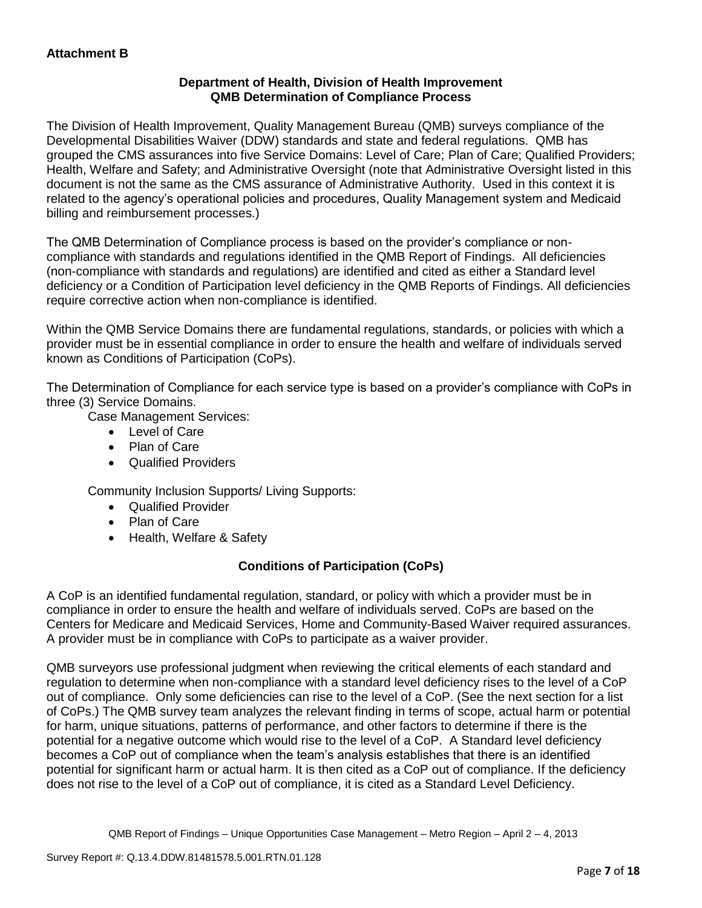# **Department of Health, Division of Health Improvement QMB Determination of Compliance Process**

The Division of Health Improvement, Quality Management Bureau (QMB) surveys compliance of the Developmental Disabilities Waiver (DDW) standards and state and federal regulations. QMB has grouped the CMS assurances into five Service Domains: Level of Care; Plan of Care; Qualified Providers; Health, Welfare and Safety; and Administrative Oversight (note that Administrative Oversight listed in this document is not the same as the CMS assurance of Administrative Authority. Used in this context it is related to the agency's operational policies and procedures, Quality Management system and Medicaid billing and reimbursement processes.)

The QMB Determination of Compliance process is based on the provider's compliance or noncompliance with standards and regulations identified in the QMB Report of Findings. All deficiencies (non-compliance with standards and regulations) are identified and cited as either a Standard level deficiency or a Condition of Participation level deficiency in the QMB Reports of Findings. All deficiencies require corrective action when non-compliance is identified.

Within the QMB Service Domains there are fundamental regulations, standards, or policies with which a provider must be in essential compliance in order to ensure the health and welfare of individuals served known as Conditions of Participation (CoPs).

The Determination of Compliance for each service type is based on a provider's compliance with CoPs in three (3) Service Domains.

Case Management Services:

- Level of Care
- Plan of Care
- Qualified Providers

Community Inclusion Supports/ Living Supports:

- Qualified Provider
- Plan of Care
- Health, Welfare & Safety

# **Conditions of Participation (CoPs)**

A CoP is an identified fundamental regulation, standard, or policy with which a provider must be in compliance in order to ensure the health and welfare of individuals served. CoPs are based on the Centers for Medicare and Medicaid Services, Home and Community-Based Waiver required assurances. A provider must be in compliance with CoPs to participate as a waiver provider.

QMB surveyors use professional judgment when reviewing the critical elements of each standard and regulation to determine when non-compliance with a standard level deficiency rises to the level of a CoP out of compliance. Only some deficiencies can rise to the level of a CoP. (See the next section for a list of CoPs.) The QMB survey team analyzes the relevant finding in terms of scope, actual harm or potential for harm, unique situations, patterns of performance, and other factors to determine if there is the potential for a negative outcome which would rise to the level of a CoP. A Standard level deficiency becomes a CoP out of compliance when the team's analysis establishes that there is an identified potential for significant harm or actual harm. It is then cited as a CoP out of compliance. If the deficiency does not rise to the level of a CoP out of compliance, it is cited as a Standard Level Deficiency.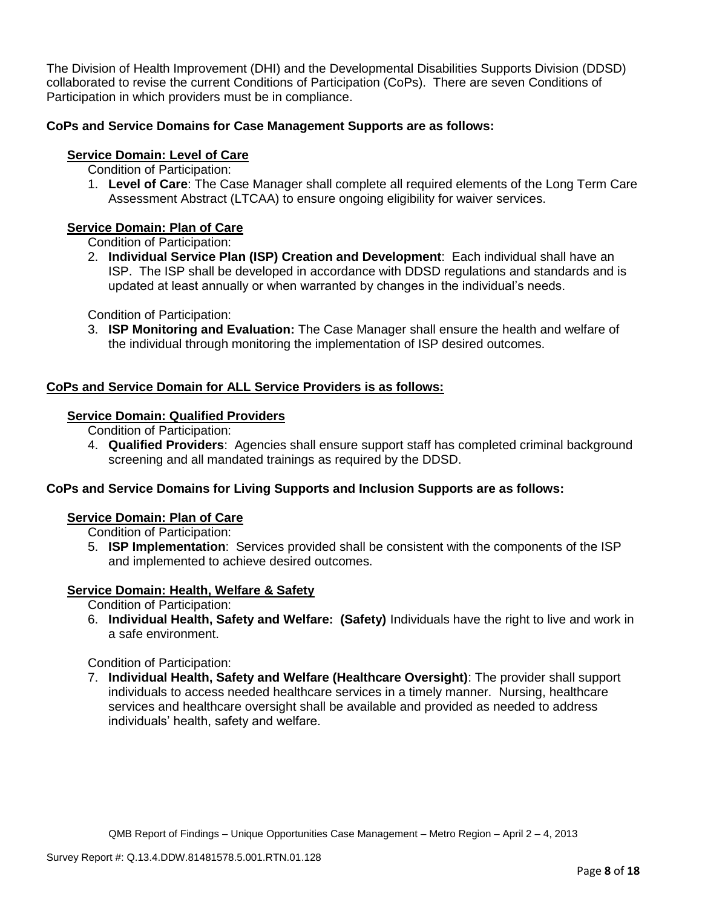The Division of Health Improvement (DHI) and the Developmental Disabilities Supports Division (DDSD) collaborated to revise the current Conditions of Participation (CoPs). There are seven Conditions of Participation in which providers must be in compliance.

# **CoPs and Service Domains for Case Management Supports are as follows:**

# **Service Domain: Level of Care**

- Condition of Participation:
- 1. **Level of Care**: The Case Manager shall complete all required elements of the Long Term Care Assessment Abstract (LTCAA) to ensure ongoing eligibility for waiver services.

# **Service Domain: Plan of Care**

Condition of Participation:

2. **Individual Service Plan (ISP) Creation and Development**: Each individual shall have an ISP. The ISP shall be developed in accordance with DDSD regulations and standards and is updated at least annually or when warranted by changes in the individual's needs.

Condition of Participation:

3. **ISP Monitoring and Evaluation:** The Case Manager shall ensure the health and welfare of the individual through monitoring the implementation of ISP desired outcomes.

# **CoPs and Service Domain for ALL Service Providers is as follows:**

# **Service Domain: Qualified Providers**

- Condition of Participation:
- 4. **Qualified Providers**: Agencies shall ensure support staff has completed criminal background screening and all mandated trainings as required by the DDSD.

# **CoPs and Service Domains for Living Supports and Inclusion Supports are as follows:**

#### **Service Domain: Plan of Care**

Condition of Participation:

5. **ISP Implementation**: Services provided shall be consistent with the components of the ISP and implemented to achieve desired outcomes.

# **Service Domain: Health, Welfare & Safety**

Condition of Participation:

6. **Individual Health, Safety and Welfare: (Safety)** Individuals have the right to live and work in a safe environment.

Condition of Participation:

7. **Individual Health, Safety and Welfare (Healthcare Oversight)**: The provider shall support individuals to access needed healthcare services in a timely manner. Nursing, healthcare services and healthcare oversight shall be available and provided as needed to address individuals' health, safety and welfare.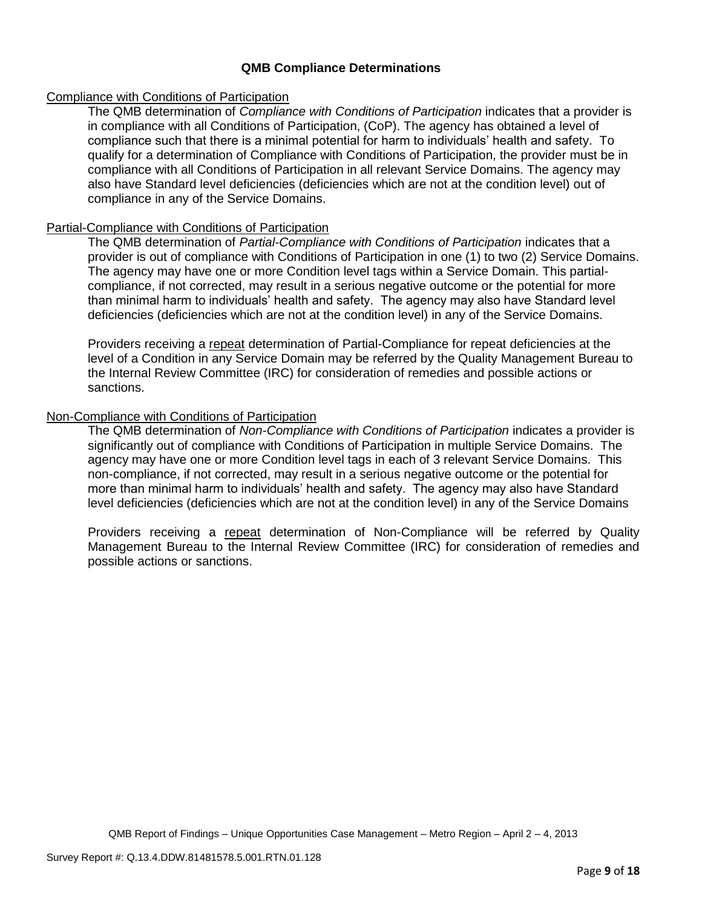### **QMB Compliance Determinations**

### Compliance with Conditions of Participation

The QMB determination of *Compliance with Conditions of Participation* indicates that a provider is in compliance with all Conditions of Participation, (CoP). The agency has obtained a level of compliance such that there is a minimal potential for harm to individuals' health and safety. To qualify for a determination of Compliance with Conditions of Participation, the provider must be in compliance with all Conditions of Participation in all relevant Service Domains. The agency may also have Standard level deficiencies (deficiencies which are not at the condition level) out of compliance in any of the Service Domains.

### Partial-Compliance with Conditions of Participation

The QMB determination of *Partial-Compliance with Conditions of Participation* indicates that a provider is out of compliance with Conditions of Participation in one (1) to two (2) Service Domains. The agency may have one or more Condition level tags within a Service Domain. This partialcompliance, if not corrected, may result in a serious negative outcome or the potential for more than minimal harm to individuals' health and safety. The agency may also have Standard level deficiencies (deficiencies which are not at the condition level) in any of the Service Domains.

Providers receiving a repeat determination of Partial-Compliance for repeat deficiencies at the level of a Condition in any Service Domain may be referred by the Quality Management Bureau to the Internal Review Committee (IRC) for consideration of remedies and possible actions or sanctions.

### Non-Compliance with Conditions of Participation

The QMB determination of *Non-Compliance with Conditions of Participation* indicates a provider is significantly out of compliance with Conditions of Participation in multiple Service Domains. The agency may have one or more Condition level tags in each of 3 relevant Service Domains. This non-compliance, if not corrected, may result in a serious negative outcome or the potential for more than minimal harm to individuals' health and safety. The agency may also have Standard level deficiencies (deficiencies which are not at the condition level) in any of the Service Domains

Providers receiving a repeat determination of Non-Compliance will be referred by Quality Management Bureau to the Internal Review Committee (IRC) for consideration of remedies and possible actions or sanctions.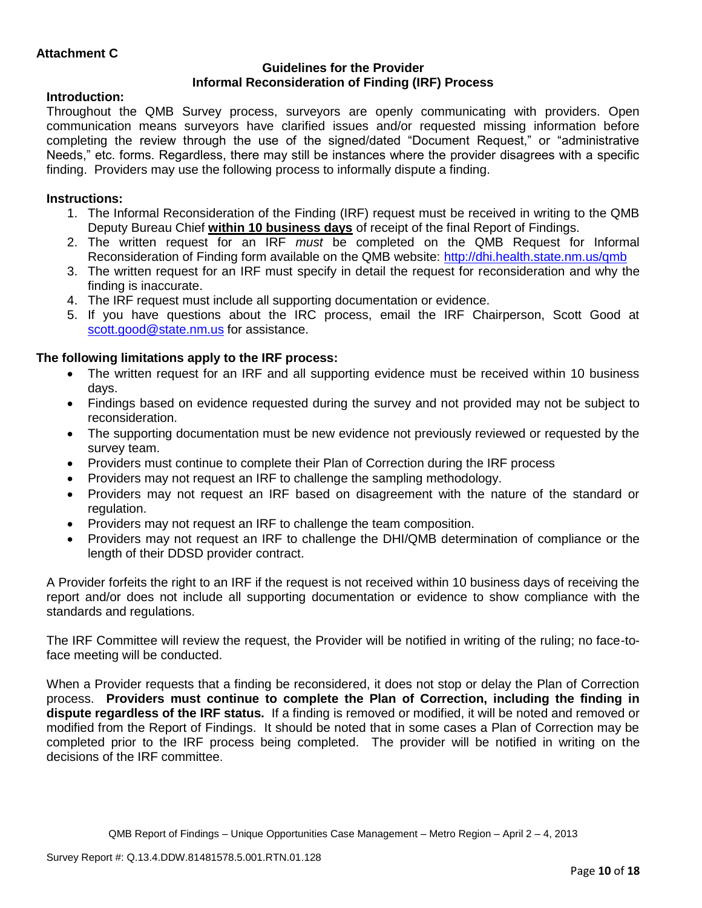### **Guidelines for the Provider Informal Reconsideration of Finding (IRF) Process**

# **Introduction:**

Throughout the QMB Survey process, surveyors are openly communicating with providers. Open communication means surveyors have clarified issues and/or requested missing information before completing the review through the use of the signed/dated "Document Request," or "administrative Needs," etc. forms. Regardless, there may still be instances where the provider disagrees with a specific finding. Providers may use the following process to informally dispute a finding.

# **Instructions:**

- 1. The Informal Reconsideration of the Finding (IRF) request must be received in writing to the QMB Deputy Bureau Chief **within 10 business days** of receipt of the final Report of Findings.
- 2. The written request for an IRF *must* be completed on the QMB Request for Informal Reconsideration of Finding form available on the QMB website:<http://dhi.health.state.nm.us/qmb>
- 3. The written request for an IRF must specify in detail the request for reconsideration and why the finding is inaccurate.
- 4. The IRF request must include all supporting documentation or evidence.
- 5. If you have questions about the IRC process, email the IRF Chairperson, Scott Good at [scott.good@state.nm.us](mailto:scott.good@state.nm.us) for assistance.

# **The following limitations apply to the IRF process:**

- The written request for an IRF and all supporting evidence must be received within 10 business days.
- Findings based on evidence requested during the survey and not provided may not be subject to reconsideration.
- The supporting documentation must be new evidence not previously reviewed or requested by the survey team.
- Providers must continue to complete their Plan of Correction during the IRF process
- Providers may not request an IRF to challenge the sampling methodology.
- Providers may not request an IRF based on disagreement with the nature of the standard or regulation.
- Providers may not request an IRF to challenge the team composition.
- Providers may not request an IRF to challenge the DHI/QMB determination of compliance or the length of their DDSD provider contract.

A Provider forfeits the right to an IRF if the request is not received within 10 business days of receiving the report and/or does not include all supporting documentation or evidence to show compliance with the standards and regulations.

The IRF Committee will review the request, the Provider will be notified in writing of the ruling; no face-toface meeting will be conducted.

When a Provider requests that a finding be reconsidered, it does not stop or delay the Plan of Correction process. **Providers must continue to complete the Plan of Correction, including the finding in dispute regardless of the IRF status.** If a finding is removed or modified, it will be noted and removed or modified from the Report of Findings. It should be noted that in some cases a Plan of Correction may be completed prior to the IRF process being completed. The provider will be notified in writing on the decisions of the IRF committee.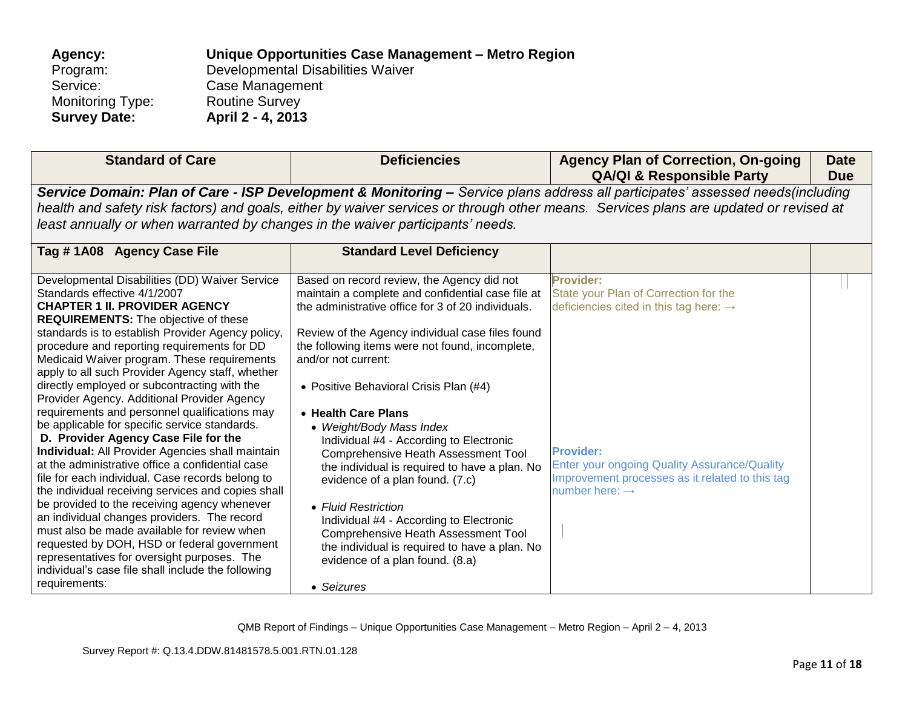| Unique Opportunities Case Management - Metro Region |
|-----------------------------------------------------|
| Developmental Disabilities Waiver                   |
| Case Management                                     |
| <b>Routine Survey</b>                               |
| April 2 - 4, 2013                                   |
|                                                     |

| <b>Standard of Care</b>                                                                                                                                                                                                                                                                                                                                                                              | <b>Deficiencies</b>                                                                                                                                                                                            | <b>Agency Plan of Correction, On-going</b><br><b>QA/QI &amp; Responsible Party</b>                                                                                                                                                                                      | <b>Date</b><br><b>Due</b> |
|------------------------------------------------------------------------------------------------------------------------------------------------------------------------------------------------------------------------------------------------------------------------------------------------------------------------------------------------------------------------------------------------------|----------------------------------------------------------------------------------------------------------------------------------------------------------------------------------------------------------------|-------------------------------------------------------------------------------------------------------------------------------------------------------------------------------------------------------------------------------------------------------------------------|---------------------------|
| least annually or when warranted by changes in the waiver participants' needs.<br>Tag #1A08 Agency Case File                                                                                                                                                                                                                                                                                         | <b>Standard Level Deficiency</b>                                                                                                                                                                               | Service Domain: Plan of Care - ISP Development & Monitoring - Service plans address all participates' assessed needs(including<br>health and safety risk factors) and goals, either by waiver services or through other means. Services plans are updated or revised at |                           |
| Developmental Disabilities (DD) Waiver Service                                                                                                                                                                                                                                                                                                                                                       | Based on record review, the Agency did not                                                                                                                                                                     | <b>Provider:</b>                                                                                                                                                                                                                                                        |                           |
| Standards effective 4/1/2007<br><b>CHAPTER 1 II. PROVIDER AGENCY</b><br><b>REQUIREMENTS:</b> The objective of these                                                                                                                                                                                                                                                                                  | maintain a complete and confidential case file at<br>the administrative office for 3 of 20 individuals.                                                                                                        | State your Plan of Correction for the<br>deficiencies cited in this tag here: $\rightarrow$                                                                                                                                                                             |                           |
| standards is to establish Provider Agency policy,<br>procedure and reporting requirements for DD<br>Medicaid Waiver program. These requirements<br>apply to all such Provider Agency staff, whether<br>directly employed or subcontracting with the<br>Provider Agency. Additional Provider Agency<br>requirements and personnel qualifications may<br>be applicable for specific service standards. | Review of the Agency individual case files found<br>the following items were not found, incomplete,<br>and/or not current:<br>• Positive Behavioral Crisis Plan (#4)<br>• Health Care Plans                    |                                                                                                                                                                                                                                                                         |                           |
| D. Provider Agency Case File for the<br><b>Individual:</b> All Provider Agencies shall maintain<br>at the administrative office a confidential case<br>file for each individual. Case records belong to<br>the individual receiving services and copies shall                                                                                                                                        | • Weight/Body Mass Index<br>Individual #4 - According to Electronic<br><b>Comprehensive Heath Assessment Tool</b><br>the individual is required to have a plan. No<br>evidence of a plan found. (7.c)          | <b>Provider:</b><br>Enter your ongoing Quality Assurance/Quality<br>Improvement processes as it related to this tag<br>number here: $\rightarrow$                                                                                                                       |                           |
| be provided to the receiving agency whenever<br>an individual changes providers. The record<br>must also be made available for review when<br>requested by DOH, HSD or federal government<br>representatives for oversight purposes. The<br>individual's case file shall include the following<br>requirements:                                                                                      | • Fluid Restriction<br>Individual #4 - According to Electronic<br><b>Comprehensive Heath Assessment Tool</b><br>the individual is required to have a plan. No<br>evidence of a plan found. (8.a)<br>• Seizures |                                                                                                                                                                                                                                                                         |                           |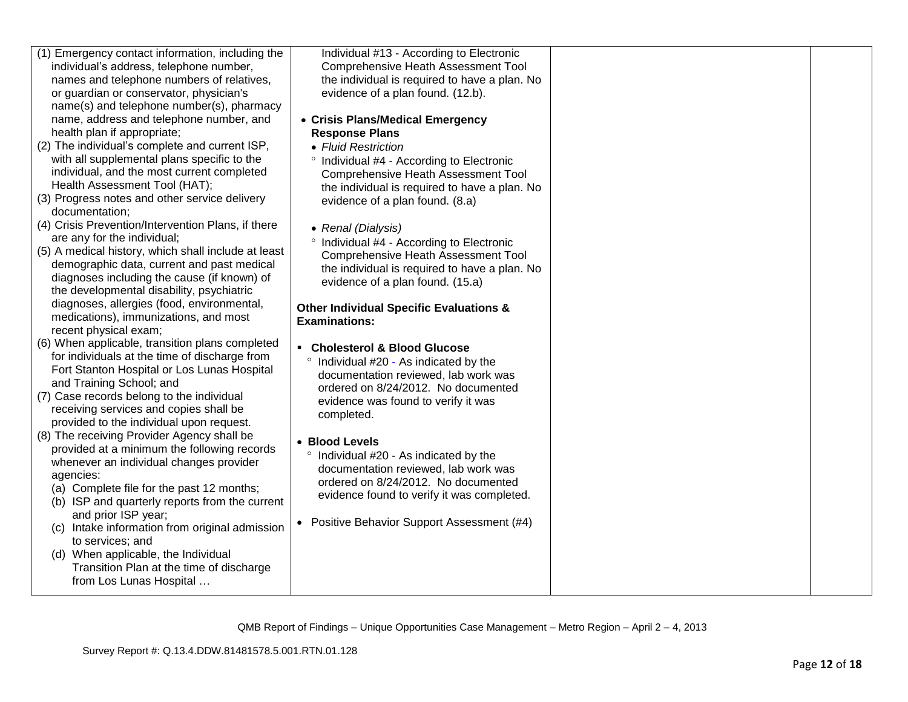| (1) Emergency contact information, including the<br>individual's address, telephone number, | Individual #13 - According to Electronic<br><b>Comprehensive Heath Assessment Tool</b> |  |
|---------------------------------------------------------------------------------------------|----------------------------------------------------------------------------------------|--|
| names and telephone numbers of relatives,                                                   | the individual is required to have a plan. No                                          |  |
| or guardian or conservator, physician's                                                     | evidence of a plan found. (12.b).                                                      |  |
| name(s) and telephone number(s), pharmacy                                                   |                                                                                        |  |
| name, address and telephone number, and                                                     | • Crisis Plans/Medical Emergency                                                       |  |
| health plan if appropriate;                                                                 | <b>Response Plans</b>                                                                  |  |
| (2) The individual's complete and current ISP,                                              | • Fluid Restriction                                                                    |  |
| with all supplemental plans specific to the                                                 |                                                                                        |  |
| individual, and the most current completed                                                  | ° Individual #4 - According to Electronic                                              |  |
| Health Assessment Tool (HAT);                                                               | <b>Comprehensive Heath Assessment Tool</b>                                             |  |
| (3) Progress notes and other service delivery                                               | the individual is required to have a plan. No                                          |  |
| documentation;                                                                              | evidence of a plan found. (8.a)                                                        |  |
|                                                                                             |                                                                                        |  |
| (4) Crisis Prevention/Intervention Plans, if there<br>are any for the individual;           | • Renal (Dialysis)                                                                     |  |
| (5) A medical history, which shall include at least                                         | ° Individual #4 - According to Electronic                                              |  |
| demographic data, current and past medical                                                  | <b>Comprehensive Heath Assessment Tool</b>                                             |  |
| diagnoses including the cause (if known) of                                                 | the individual is required to have a plan. No                                          |  |
| the developmental disability, psychiatric                                                   | evidence of a plan found. (15.a)                                                       |  |
|                                                                                             |                                                                                        |  |
| diagnoses, allergies (food, environmental,                                                  | <b>Other Individual Specific Evaluations &amp;</b>                                     |  |
| medications), immunizations, and most<br>recent physical exam;                              | <b>Examinations:</b>                                                                   |  |
|                                                                                             |                                                                                        |  |
| (6) When applicable, transition plans completed                                             | $\blacksquare$<br><b>Cholesterol &amp; Blood Glucose</b>                               |  |
| for individuals at the time of discharge from                                               | ° Individual #20 - As indicated by the                                                 |  |
| Fort Stanton Hospital or Los Lunas Hospital                                                 | documentation reviewed, lab work was                                                   |  |
| and Training School; and                                                                    | ordered on 8/24/2012. No documented                                                    |  |
| (7) Case records belong to the individual                                                   | evidence was found to verify it was                                                    |  |
| receiving services and copies shall be                                                      | completed.                                                                             |  |
| provided to the individual upon request.                                                    |                                                                                        |  |
| (8) The receiving Provider Agency shall be                                                  | • Blood Levels                                                                         |  |
| provided at a minimum the following records                                                 | ° Individual #20 - As indicated by the                                                 |  |
| whenever an individual changes provider                                                     | documentation reviewed, lab work was                                                   |  |
| agencies:                                                                                   | ordered on 8/24/2012. No documented                                                    |  |
| (a) Complete file for the past 12 months;                                                   | evidence found to verify it was completed.                                             |  |
| (b) ISP and quarterly reports from the current                                              |                                                                                        |  |
| and prior ISP year;                                                                         | • Positive Behavior Support Assessment (#4)                                            |  |
| (c) Intake information from original admission                                              |                                                                                        |  |
| to services; and                                                                            |                                                                                        |  |
| (d) When applicable, the Individual                                                         |                                                                                        |  |
| Transition Plan at the time of discharge                                                    |                                                                                        |  |
| from Los Lunas Hospital                                                                     |                                                                                        |  |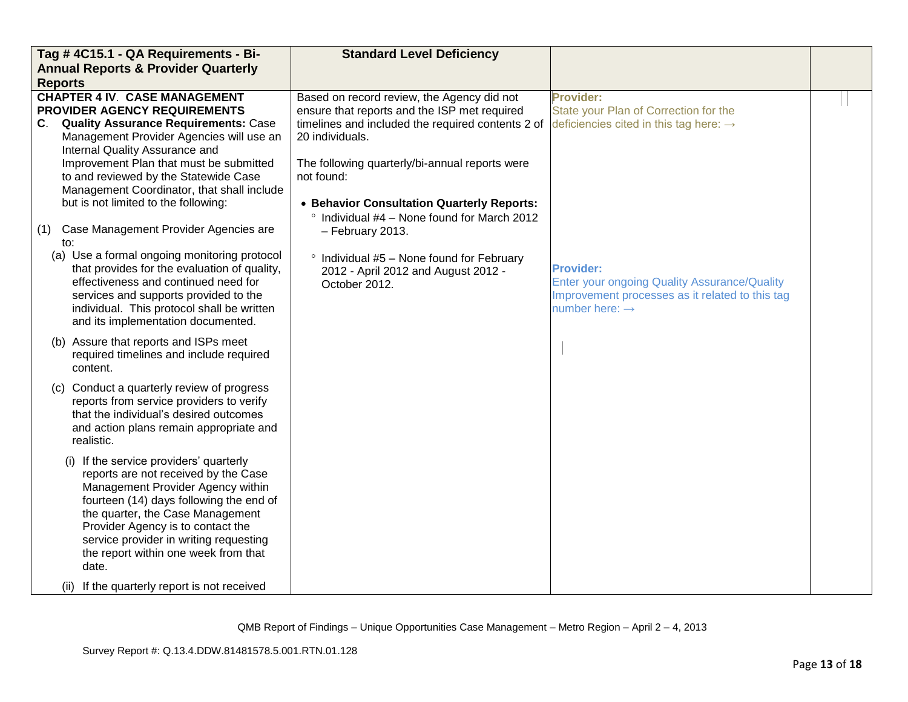| Tag #4C15.1 - QA Requirements - Bi-                                                                                                                                                                                                                                                                                                                                                    | <b>Standard Level Deficiency</b>                                                                                                                                                                                                                                                                                                |                                                                                                                                                          |  |
|----------------------------------------------------------------------------------------------------------------------------------------------------------------------------------------------------------------------------------------------------------------------------------------------------------------------------------------------------------------------------------------|---------------------------------------------------------------------------------------------------------------------------------------------------------------------------------------------------------------------------------------------------------------------------------------------------------------------------------|----------------------------------------------------------------------------------------------------------------------------------------------------------|--|
| <b>Annual Reports &amp; Provider Quarterly</b>                                                                                                                                                                                                                                                                                                                                         |                                                                                                                                                                                                                                                                                                                                 |                                                                                                                                                          |  |
| <b>Reports</b>                                                                                                                                                                                                                                                                                                                                                                         |                                                                                                                                                                                                                                                                                                                                 |                                                                                                                                                          |  |
| <b>CHAPTER 4 IV. CASE MANAGEMENT</b><br>PROVIDER AGENCY REQUIREMENTS<br>C. Quality Assurance Requirements: Case<br>Management Provider Agencies will use an<br>Internal Quality Assurance and<br>Improvement Plan that must be submitted<br>to and reviewed by the Statewide Case<br>Management Coordinator, that shall include<br>but is not limited to the following:                | Based on record review, the Agency did not<br>ensure that reports and the ISP met required<br>timelines and included the required contents 2 of<br>20 individuals.<br>The following quarterly/bi-annual reports were<br>not found:<br>• Behavior Consultation Quarterly Reports:<br>° Individual #4 - None found for March 2012 | <b>Provider:</b><br>State your Plan of Correction for the<br>deficiencies cited in this tag here: $\rightarrow$                                          |  |
| Case Management Provider Agencies are<br>(1)<br>to:<br>(a) Use a formal ongoing monitoring protocol<br>that provides for the evaluation of quality,<br>effectiveness and continued need for<br>services and supports provided to the<br>individual. This protocol shall be written<br>and its implementation documented.                                                               | - February 2013.<br>$\degree$ Individual #5 - None found for February<br>2012 - April 2012 and August 2012 -<br>October 2012.                                                                                                                                                                                                   | <b>Provider:</b><br><b>Enter your ongoing Quality Assurance/Quality</b><br>Improvement processes as it related to this tag<br>number here: $\rightarrow$ |  |
| (b) Assure that reports and ISPs meet<br>required timelines and include required<br>content.                                                                                                                                                                                                                                                                                           |                                                                                                                                                                                                                                                                                                                                 |                                                                                                                                                          |  |
| (c) Conduct a quarterly review of progress<br>reports from service providers to verify<br>that the individual's desired outcomes<br>and action plans remain appropriate and<br>realistic.                                                                                                                                                                                              |                                                                                                                                                                                                                                                                                                                                 |                                                                                                                                                          |  |
| (i) If the service providers' quarterly<br>reports are not received by the Case<br>Management Provider Agency within<br>fourteen (14) days following the end of<br>the quarter, the Case Management<br>Provider Agency is to contact the<br>service provider in writing requesting<br>the report within one week from that<br>date.<br>If the quarterly report is not received<br>(ii) |                                                                                                                                                                                                                                                                                                                                 |                                                                                                                                                          |  |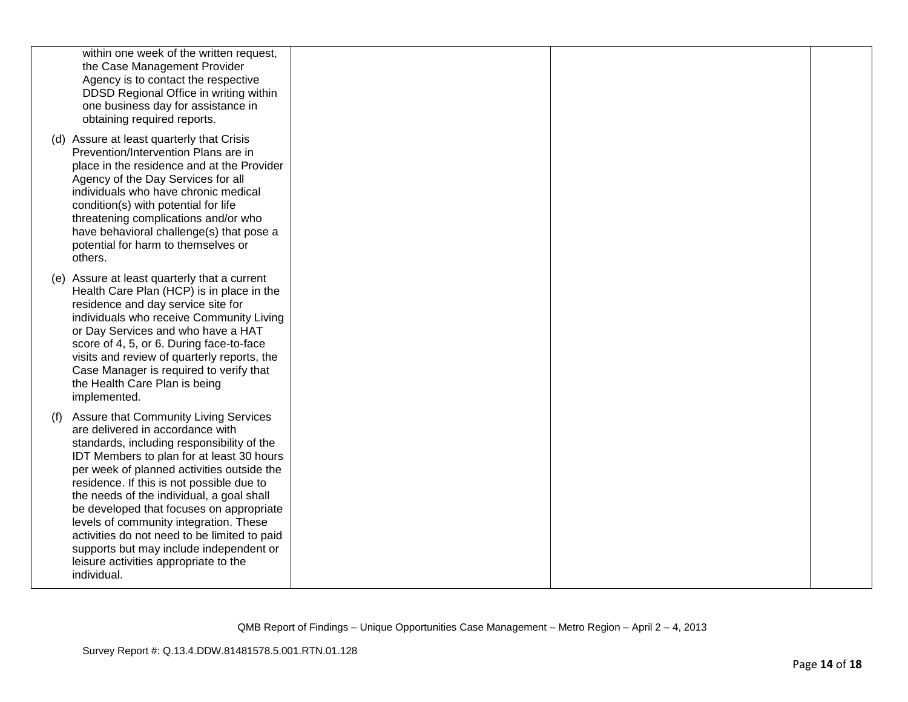| within one week of the written request,<br>the Case Management Provider<br>Agency is to contact the respective<br>DDSD Regional Office in writing within<br>one business day for assistance in<br>obtaining required reports.                                                                                                                                                                                                                                                                                                                                |  |  |
|--------------------------------------------------------------------------------------------------------------------------------------------------------------------------------------------------------------------------------------------------------------------------------------------------------------------------------------------------------------------------------------------------------------------------------------------------------------------------------------------------------------------------------------------------------------|--|--|
| (d) Assure at least quarterly that Crisis<br>Prevention/Intervention Plans are in<br>place in the residence and at the Provider<br>Agency of the Day Services for all<br>individuals who have chronic medical<br>condition(s) with potential for life<br>threatening complications and/or who<br>have behavioral challenge(s) that pose a<br>potential for harm to themselves or<br>others.                                                                                                                                                                  |  |  |
| (e) Assure at least quarterly that a current<br>Health Care Plan (HCP) is in place in the<br>residence and day service site for<br>individuals who receive Community Living<br>or Day Services and who have a HAT<br>score of 4, 5, or 6. During face-to-face<br>visits and review of quarterly reports, the<br>Case Manager is required to verify that<br>the Health Care Plan is being<br>implemented.                                                                                                                                                     |  |  |
| Assure that Community Living Services<br>(f)<br>are delivered in accordance with<br>standards, including responsibility of the<br>IDT Members to plan for at least 30 hours<br>per week of planned activities outside the<br>residence. If this is not possible due to<br>the needs of the individual, a goal shall<br>be developed that focuses on appropriate<br>levels of community integration. These<br>activities do not need to be limited to paid<br>supports but may include independent or<br>leisure activities appropriate to the<br>individual. |  |  |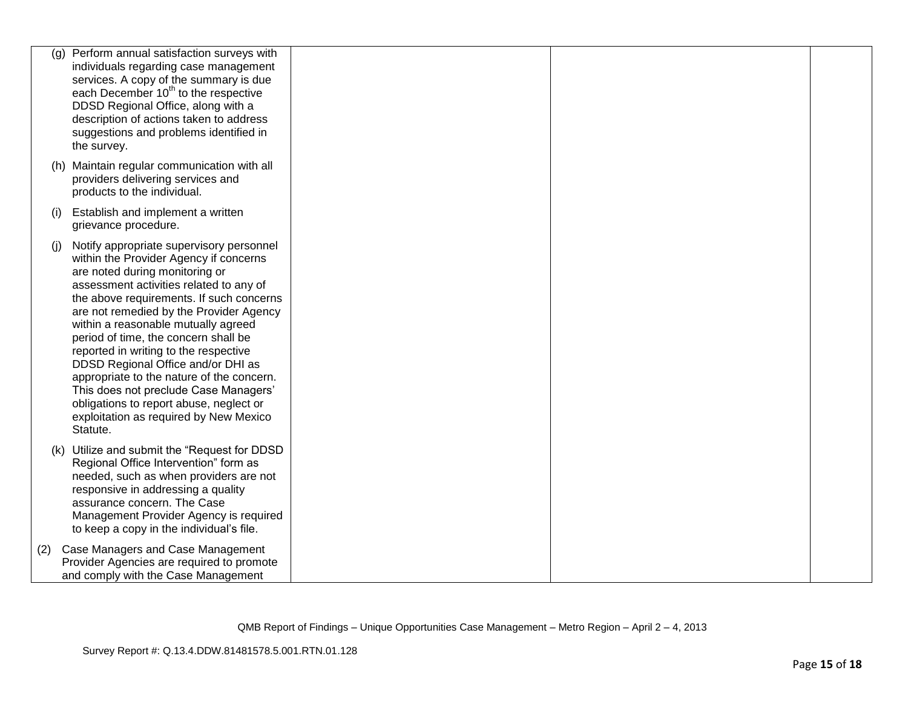| (g) | Perform annual satisfaction surveys with<br>individuals regarding case management<br>services. A copy of the summary is due<br>each December 10 <sup>th</sup> to the respective<br>DDSD Regional Office, along with a<br>description of actions taken to address<br>suggestions and problems identified in<br>the survey.                                                                                                                                                                                                                                                                                   |  |  |
|-----|-------------------------------------------------------------------------------------------------------------------------------------------------------------------------------------------------------------------------------------------------------------------------------------------------------------------------------------------------------------------------------------------------------------------------------------------------------------------------------------------------------------------------------------------------------------------------------------------------------------|--|--|
|     | (h) Maintain regular communication with all<br>providers delivering services and<br>products to the individual.                                                                                                                                                                                                                                                                                                                                                                                                                                                                                             |  |  |
| (i) | Establish and implement a written<br>grievance procedure.                                                                                                                                                                                                                                                                                                                                                                                                                                                                                                                                                   |  |  |
| (i) | Notify appropriate supervisory personnel<br>within the Provider Agency if concerns<br>are noted during monitoring or<br>assessment activities related to any of<br>the above requirements. If such concerns<br>are not remedied by the Provider Agency<br>within a reasonable mutually agreed<br>period of time, the concern shall be<br>reported in writing to the respective<br>DDSD Regional Office and/or DHI as<br>appropriate to the nature of the concern.<br>This does not preclude Case Managers'<br>obligations to report abuse, neglect or<br>exploitation as required by New Mexico<br>Statute. |  |  |
|     | (k) Utilize and submit the "Request for DDSD<br>Regional Office Intervention" form as<br>needed, such as when providers are not<br>responsive in addressing a quality<br>assurance concern. The Case<br>Management Provider Agency is required<br>to keep a copy in the individual's file.                                                                                                                                                                                                                                                                                                                  |  |  |
| (2) | Case Managers and Case Management<br>Provider Agencies are required to promote<br>and comply with the Case Management                                                                                                                                                                                                                                                                                                                                                                                                                                                                                       |  |  |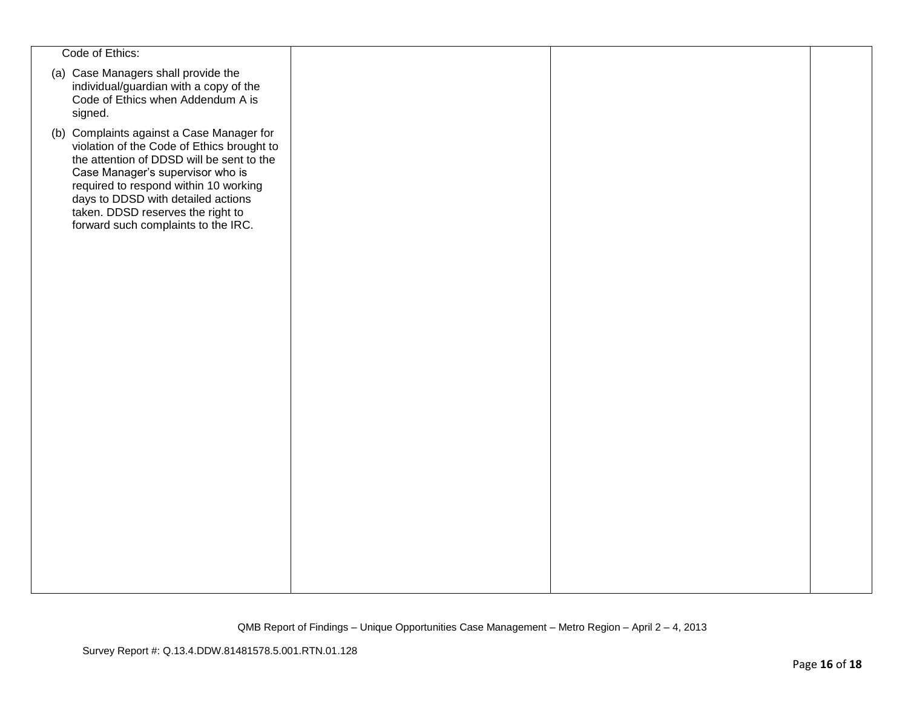| Code of Ethics:                                                                                                                                                                                                                                                                                                                     |  |  |
|-------------------------------------------------------------------------------------------------------------------------------------------------------------------------------------------------------------------------------------------------------------------------------------------------------------------------------------|--|--|
| (a) Case Managers shall provide the<br>individual/guardian with a copy of the<br>Code of Ethics when Addendum A is<br>signed.                                                                                                                                                                                                       |  |  |
| (b) Complaints against a Case Manager for<br>violation of the Code of Ethics brought to<br>the attention of DDSD will be sent to the<br>Case Manager's supervisor who is<br>required to respond within 10 working<br>days to DDSD with detailed actions<br>taken. DDSD reserves the right to<br>forward such complaints to the IRC. |  |  |
|                                                                                                                                                                                                                                                                                                                                     |  |  |
|                                                                                                                                                                                                                                                                                                                                     |  |  |
|                                                                                                                                                                                                                                                                                                                                     |  |  |
|                                                                                                                                                                                                                                                                                                                                     |  |  |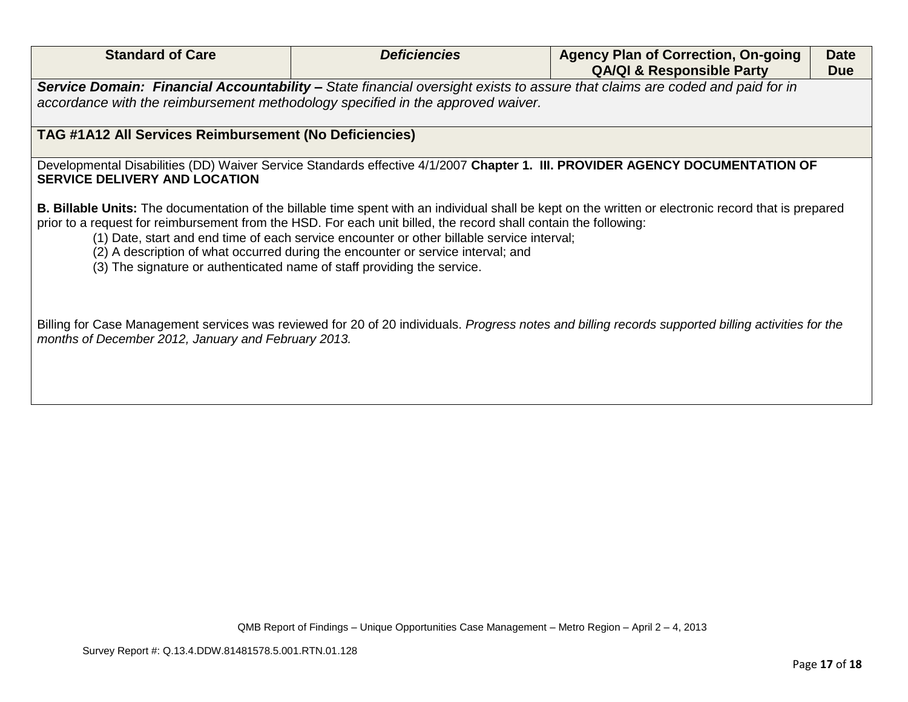| <b>Standard of Care</b>                                                                                          | <b>Deficiencies</b>                                                                                                                                                                                                                                       | <b>Agency Plan of Correction, On-going</b><br><b>QA/QI &amp; Responsible Party</b>                                                                           | <b>Date</b><br><b>Due</b> |
|------------------------------------------------------------------------------------------------------------------|-----------------------------------------------------------------------------------------------------------------------------------------------------------------------------------------------------------------------------------------------------------|--------------------------------------------------------------------------------------------------------------------------------------------------------------|---------------------------|
|                                                                                                                  |                                                                                                                                                                                                                                                           | Service Domain: Financial Accountability - State financial oversight exists to assure that claims are coded and paid for in                                  |                           |
| accordance with the reimbursement methodology specified in the approved waiver.                                  |                                                                                                                                                                                                                                                           |                                                                                                                                                              |                           |
| TAG #1A12 All Services Reimbursement (No Deficiencies)                                                           |                                                                                                                                                                                                                                                           |                                                                                                                                                              |                           |
| <b>SERVICE DELIVERY AND LOCATION</b>                                                                             |                                                                                                                                                                                                                                                           | Developmental Disabilities (DD) Waiver Service Standards effective 4/1/2007 Chapter 1. III. PROVIDER AGENCY DOCUMENTATION OF                                 |                           |
| prior to a request for reimbursement from the HSD. For each unit billed, the record shall contain the following: | (1) Date, start and end time of each service encounter or other billable service interval;<br>(2) A description of what occurred during the encounter or service interval; and<br>(3) The signature or authenticated name of staff providing the service. | <b>B. Billable Units:</b> The documentation of the billable time spent with an individual shall be kept on the written or electronic record that is prepared |                           |
|                                                                                                                  |                                                                                                                                                                                                                                                           |                                                                                                                                                              |                           |